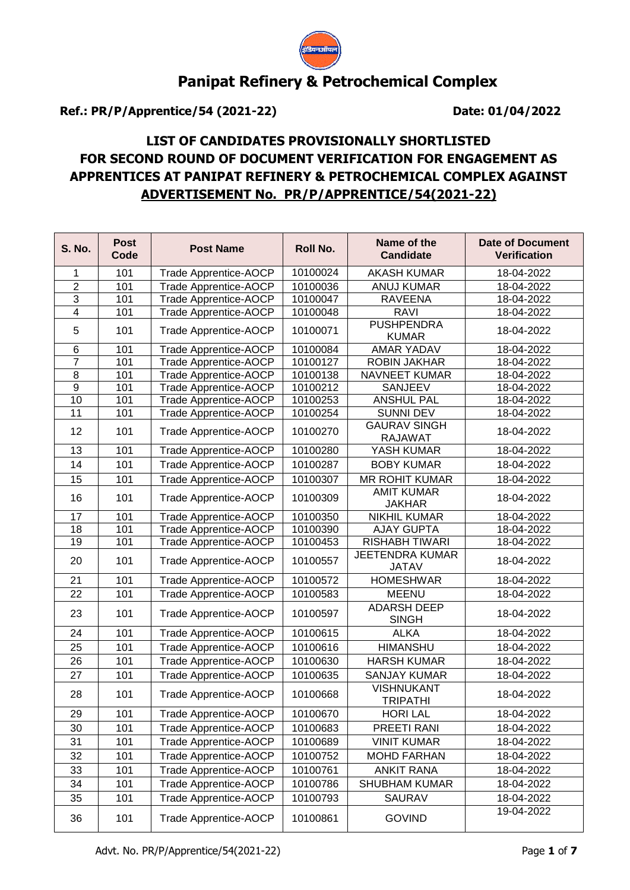

# **Panipat Refinery & Petrochemical Complex**

**Ref.: PR/P/Apprentice/54 (2021-22) Date: 01/04/2022**

## **LIST OF CANDIDATES PROVISIONALLY SHORTLISTED FOR SECOND ROUND OF DOCUMENT VERIFICATION FOR ENGAGEMENT AS APPRENTICES AT PANIPAT REFINERY & PETROCHEMICAL COMPLEX AGAINST ADVERTISEMENT No. PR/P/APPRENTICE/54(2021-22)**

| <b>S. No.</b>   | <b>Post</b><br>Code | <b>Post Name</b>             | Roll No. | Name of the<br><b>Candidate</b>        | <b>Date of Document</b><br><b>Verification</b> |
|-----------------|---------------------|------------------------------|----------|----------------------------------------|------------------------------------------------|
| 1               | 101                 | Trade Apprentice-AOCP        | 10100024 | <b>AKASH KUMAR</b>                     | 18-04-2022                                     |
| $\overline{2}$  | 101                 | Trade Apprentice-AOCP        | 10100036 | <b>ANUJ KUMAR</b>                      | 18-04-2022                                     |
| $\overline{3}$  | 101                 | Trade Apprentice-AOCP        | 10100047 | <b>RAVEENA</b>                         | 18-04-2022                                     |
| $\overline{4}$  | 101                 | Trade Apprentice-AOCP        | 10100048 | <b>RAVI</b>                            | 18-04-2022                                     |
| 5               | 101                 | Trade Apprentice-AOCP        | 10100071 | <b>PUSHPENDRA</b><br><b>KUMAR</b>      | 18-04-2022                                     |
| 6               | 101                 | Trade Apprentice-AOCP        | 10100084 | <b>AMAR YADAV</b>                      | 18-04-2022                                     |
| $\overline{7}$  | 101                 | <b>Trade Apprentice-AOCP</b> | 10100127 | <b>ROBIN JAKHAR</b>                    | 18-04-2022                                     |
| 8               | 101                 | <b>Trade Apprentice-AOCP</b> | 10100138 | <b>NAVNEET KUMAR</b>                   | 18-04-2022                                     |
| 9               | 101                 | <b>Trade Apprentice-AOCP</b> | 10100212 | SANJEEV                                | 18-04-2022                                     |
| 10              | 101                 | Trade Apprentice-AOCP        | 10100253 | <b>ANSHUL PAL</b>                      | 18-04-2022                                     |
| 11              | 101                 | <b>Trade Apprentice-AOCP</b> | 10100254 | <b>SUNNI DEV</b>                       | 18-04-2022                                     |
| 12              | 101                 | Trade Apprentice-AOCP        | 10100270 | <b>GAURAV SINGH</b><br><b>RAJAWAT</b>  | 18-04-2022                                     |
| 13              | 101                 | <b>Trade Apprentice-AOCP</b> | 10100280 | YASH KUMAR                             | 18-04-2022                                     |
| 14              | 101                 | <b>Trade Apprentice-AOCP</b> | 10100287 | <b>BOBY KUMAR</b>                      | 18-04-2022                                     |
| 15              | 101                 | <b>Trade Apprentice-AOCP</b> | 10100307 | <b>MR ROHIT KUMAR</b>                  | 18-04-2022                                     |
| 16              | 101                 | Trade Apprentice-AOCP        | 10100309 | <b>AMIT KUMAR</b><br><b>JAKHAR</b>     | 18-04-2022                                     |
| 17              | 101                 | <b>Trade Apprentice-AOCP</b> | 10100350 | <b>NIKHIL KUMAR</b>                    | 18-04-2022                                     |
| $\overline{18}$ | 101                 | <b>Trade Apprentice-AOCP</b> | 10100390 | <b>AJAY GUPTA</b>                      | 18-04-2022                                     |
| 19              | 101                 | <b>Trade Apprentice-AOCP</b> | 10100453 | RISHABH TIWARI                         | 18-04-2022                                     |
| 20              | 101                 | Trade Apprentice-AOCP        | 10100557 | <b>JEETENDRA KUMAR</b><br><b>JATAV</b> | 18-04-2022                                     |
| 21              | 101                 | <b>Trade Apprentice-AOCP</b> | 10100572 | <b>HOMESHWAR</b>                       | 18-04-2022                                     |
| 22              | 101                 | <b>Trade Apprentice-AOCP</b> | 10100583 | <b>MEENU</b>                           | 18-04-2022                                     |
| 23              | 101                 | <b>Trade Apprentice-AOCP</b> | 10100597 | <b>ADARSH DEEP</b><br><b>SINGH</b>     | 18-04-2022                                     |
| 24              | 101                 | Trade Apprentice-AOCP        | 10100615 | <b>ALKA</b>                            | 18-04-2022                                     |
| 25              | 101                 | Trade Apprentice-AOCP        | 10100616 | <b>HIMANSHU</b>                        | 18-04-2022                                     |
| 26              | 101                 | <b>Trade Apprentice-AOCP</b> | 10100630 | <b>HARSH KUMAR</b>                     | 18-04-2022                                     |
| 27              | 101                 | Trade Apprentice-AOCP        | 10100635 | <b>SANJAY KUMAR</b>                    | 18-04-2022                                     |
| 28              | 101                 | <b>Trade Apprentice-AOCP</b> | 10100668 | <b>VISHNUKANT</b><br><b>TRIPATHI</b>   | 18-04-2022                                     |
| 29              | 101                 | <b>Trade Apprentice-AOCP</b> | 10100670 | <b>HORI LAL</b>                        | 18-04-2022                                     |
| 30              | 101                 | Trade Apprentice-AOCP        | 10100683 | PREETI RANI                            | 18-04-2022                                     |
| 31              | 101                 | Trade Apprentice-AOCP        | 10100689 | <b>VINIT KUMAR</b>                     | 18-04-2022                                     |
| 32              | 101                 | <b>Trade Apprentice-AOCP</b> | 10100752 | <b>MOHD FARHAN</b>                     | 18-04-2022                                     |
| 33              | 101                 | <b>Trade Apprentice-AOCP</b> | 10100761 | <b>ANKIT RANA</b>                      | 18-04-2022                                     |
| 34              | 101                 | <b>Trade Apprentice-AOCP</b> | 10100786 | <b>SHUBHAM KUMAR</b>                   | 18-04-2022                                     |
| 35              | 101                 | Trade Apprentice-AOCP        | 10100793 | <b>SAURAV</b>                          | 18-04-2022                                     |
|                 |                     |                              |          |                                        | 19-04-2022                                     |
| 36              | 101                 | Trade Apprentice-AOCP        | 10100861 | <b>GOVIND</b>                          |                                                |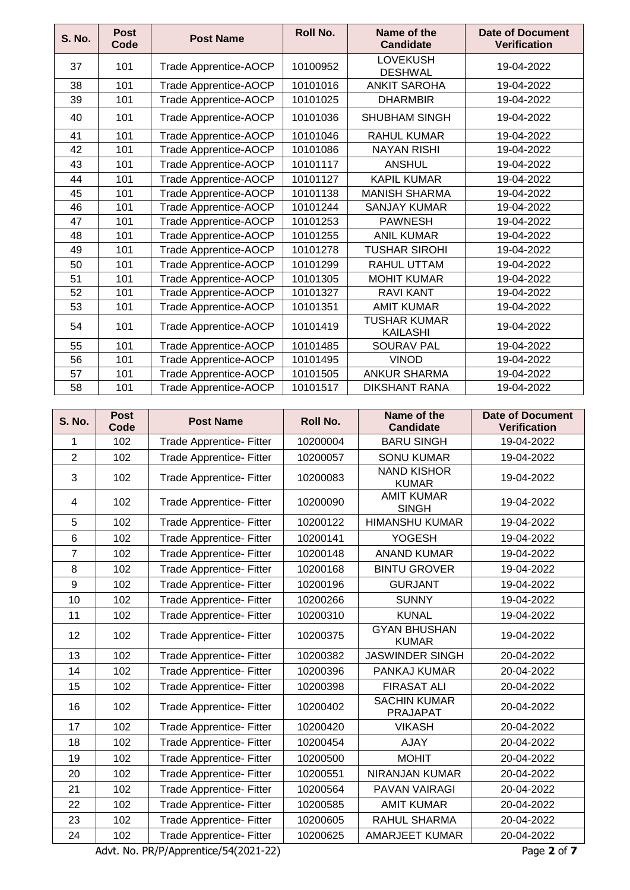| <b>S. No.</b> | <b>Post</b><br>Code | <b>Post Name</b>             | <b>Roll No.</b> | Name of the<br><b>Candidate</b>   | Date of Document<br><b>Verification</b> |
|---------------|---------------------|------------------------------|-----------------|-----------------------------------|-----------------------------------------|
| 37            | 101                 | Trade Apprentice-AOCP        | 10100952        | <b>LOVEKUSH</b><br><b>DESHWAL</b> | 19-04-2022                              |
| 38            | 101                 | Trade Apprentice-AOCP        | 10101016        | <b>ANKIT SAROHA</b>               | 19-04-2022                              |
| 39            | 101                 | <b>Trade Apprentice-AOCP</b> | 10101025        | <b>DHARMBIR</b>                   | 19-04-2022                              |
| 40            | 101                 | Trade Apprentice-AOCP        | 10101036        | <b>SHUBHAM SINGH</b>              | 19-04-2022                              |
| 41            | 101                 | <b>Trade Apprentice-AOCP</b> | 10101046        | <b>RAHUL KUMAR</b>                | 19-04-2022                              |
| 42            | 101                 | <b>Trade Apprentice-AOCP</b> | 10101086        | <b>NAYAN RISHI</b>                | 19-04-2022                              |
| 43            | 101                 | <b>Trade Apprentice-AOCP</b> | 10101117        | <b>ANSHUL</b>                     | 19-04-2022                              |
| 44            | 101                 | <b>Trade Apprentice-AOCP</b> | 10101127        | <b>KAPIL KUMAR</b>                | 19-04-2022                              |
| 45            | 101                 | Trade Apprentice-AOCP        | 10101138        | <b>MANISH SHARMA</b>              | 19-04-2022                              |
| 46            | 101                 | Trade Apprentice-AOCP        | 10101244        | <b>SANJAY KUMAR</b>               | 19-04-2022                              |
| 47            | 101                 | Trade Apprentice-AOCP        | 10101253        | <b>PAWNESH</b>                    | 19-04-2022                              |
| 48            | 101                 | <b>Trade Apprentice-AOCP</b> | 10101255        | <b>ANIL KUMAR</b>                 | 19-04-2022                              |
| 49            | 101                 | <b>Trade Apprentice-AOCP</b> | 10101278        | <b>TUSHAR SIROHI</b>              | 19-04-2022                              |
| 50            | 101                 | Trade Apprentice-AOCP        | 10101299        | <b>RAHUL UTTAM</b>                | 19-04-2022                              |
| 51            | 101                 | <b>Trade Apprentice-AOCP</b> | 10101305        | <b>MOHIT KUMAR</b>                | 19-04-2022                              |
| 52            | 101                 | Trade Apprentice-AOCP        | 10101327        | <b>RAVI KANT</b>                  | 19-04-2022                              |
| 53            | 101                 | Trade Apprentice-AOCP        | 10101351        | <b>AMIT KUMAR</b>                 | 19-04-2022                              |
| 54            | 101                 | Trade Apprentice-AOCP        | 10101419        | TUSHAR KUMAR<br><b>KAILASHI</b>   | 19-04-2022                              |
| 55            | 101                 | Trade Apprentice-AOCP        | 10101485        | <b>SOURAV PAL</b>                 | 19-04-2022                              |
| 56            | 101                 | Trade Apprentice-AOCP        | 10101495        | <b>VINOD</b>                      | 19-04-2022                              |
| 57            | 101                 | Trade Apprentice-AOCP        | 10101505        | <b>ANKUR SHARMA</b>               | 19-04-2022                              |
| 58            | 101                 | <b>Trade Apprentice-AOCP</b> | 10101517        | <b>DIKSHANT RANA</b>              | 19-04-2022                              |

| <b>S. No.</b>   | <b>Post</b><br>Code | <b>Post Name</b>                | <b>Roll No.</b> | Name of the<br><b>Candidate</b>        | <b>Date of Document</b><br><b>Verification</b> |
|-----------------|---------------------|---------------------------------|-----------------|----------------------------------------|------------------------------------------------|
| 1               | 102                 | Trade Apprentice- Fitter        | 10200004        | <b>BARU SINGH</b>                      | 19-04-2022                                     |
| $\overline{2}$  | 102                 | Trade Apprentice- Fitter        | 10200057        | <b>SONU KUMAR</b>                      | 19-04-2022                                     |
| 3               | 102                 | Trade Apprentice- Fitter        | 10200083        | <b>NAND KISHOR</b><br><b>KUMAR</b>     | 19-04-2022                                     |
| 4               | 102                 | Trade Apprentice- Fitter        | 10200090        | <b>AMIT KUMAR</b><br><b>SINGH</b>      | 19-04-2022                                     |
| 5               | 102                 | Trade Apprentice- Fitter        | 10200122        | <b>HIMANSHU KUMAR</b>                  | 19-04-2022                                     |
| $6\phantom{1}6$ | 102                 | Trade Apprentice- Fitter        | 10200141        | <b>YOGESH</b>                          | 19-04-2022                                     |
| 7               | 102                 | <b>Trade Apprentice- Fitter</b> | 10200148        | <b>ANAND KUMAR</b>                     | 19-04-2022                                     |
| 8               | 102                 | Trade Apprentice- Fitter        | 10200168        | <b>BINTU GROVER</b>                    | 19-04-2022                                     |
| 9               | 102                 | <b>Trade Apprentice- Fitter</b> | 10200196        | <b>GURJANT</b>                         | 19-04-2022                                     |
| 10              | 102                 | Trade Apprentice- Fitter        | 10200266        | <b>SUNNY</b>                           | 19-04-2022                                     |
| 11              | 102                 | <b>Trade Apprentice- Fitter</b> | 10200310        | <b>KUNAL</b>                           | 19-04-2022                                     |
| 12              | 102                 | Trade Apprentice- Fitter        | 10200375        | <b>GYAN BHUSHAN</b><br><b>KUMAR</b>    | 19-04-2022                                     |
| 13              | 102                 | Trade Apprentice- Fitter        | 10200382        | <b>JASWINDER SINGH</b>                 | 20-04-2022                                     |
| 14              | 102                 | <b>Trade Apprentice- Fitter</b> | 10200396        | PANKAJ KUMAR                           | 20-04-2022                                     |
| 15              | 102                 | <b>Trade Apprentice- Fitter</b> | 10200398        | <b>FIRASAT ALI</b>                     | 20-04-2022                                     |
| 16              | 102                 | Trade Apprentice- Fitter        | 10200402        | <b>SACHIN KUMAR</b><br><b>PRAJAPAT</b> | 20-04-2022                                     |
| 17              | 102                 | Trade Apprentice- Fitter        | 10200420        | <b>VIKASH</b>                          | 20-04-2022                                     |
| 18              | 102                 | Trade Apprentice- Fitter        | 10200454        | <b>AJAY</b>                            | 20-04-2022                                     |
| 19              | 102                 | Trade Apprentice- Fitter        | 10200500        | <b>MOHIT</b>                           | 20-04-2022                                     |
| 20              | 102                 | <b>Trade Apprentice- Fitter</b> | 10200551        | <b>NIRANJAN KUMAR</b>                  | 20-04-2022                                     |
| 21              | 102                 | Trade Apprentice- Fitter        | 10200564        | PAVAN VAIRAGI                          | 20-04-2022                                     |
| 22              | 102                 | <b>Trade Apprentice- Fitter</b> | 10200585        | <b>AMIT KUMAR</b>                      | 20-04-2022                                     |
| 23              | 102                 | <b>Trade Apprentice- Fitter</b> | 10200605        | RAHUL SHARMA                           | 20-04-2022                                     |
| 24              | 102                 | <b>Trade Apprentice- Fitter</b> | 10200625        | <b>AMARJEET KUMAR</b>                  | 20-04-2022                                     |

Advt. No. PR/P/Apprentice/54(2021-22) Page **2** of **7**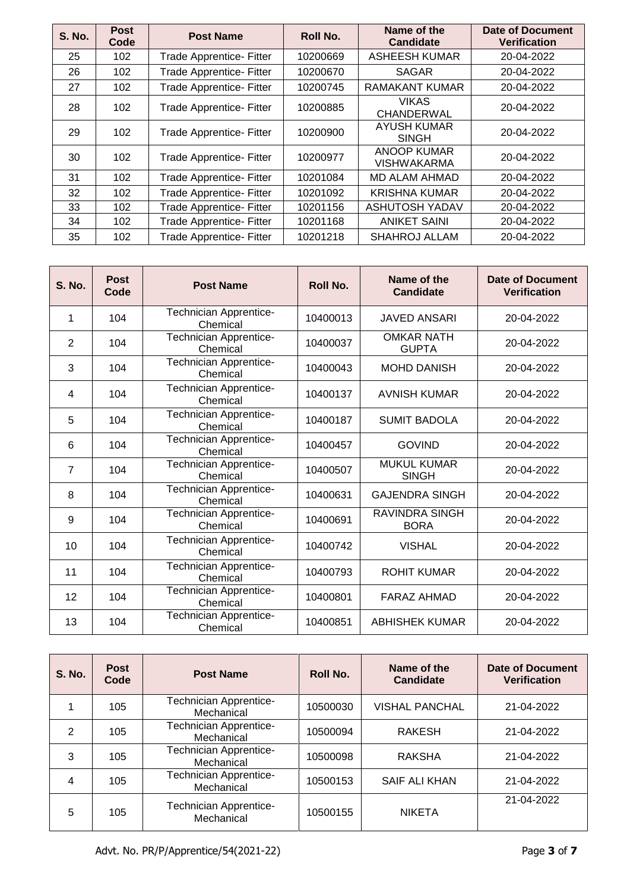| <b>S. No.</b> | <b>Post</b><br>Code | <b>Post Name</b>                | Roll No. | Name of the<br><b>Candidate</b>    | Date of Document<br><b>Verification</b> |
|---------------|---------------------|---------------------------------|----------|------------------------------------|-----------------------------------------|
| 25            | 102                 | <b>Trade Apprentice- Fitter</b> | 10200669 | ASHEESH KUMAR                      | 20-04-2022                              |
| 26            | 102                 | Trade Apprentice- Fitter        | 10200670 | <b>SAGAR</b>                       | 20-04-2022                              |
| 27            | 102                 | Trade Apprentice- Fitter        | 10200745 | <b>RAMAKANT KUMAR</b>              | 20-04-2022                              |
| 28            | 102                 | <b>Trade Apprentice- Fitter</b> | 10200885 | <b>VIKAS</b><br><b>CHANDERWAL</b>  | 20-04-2022                              |
| 29            | 102                 | <b>Trade Apprentice- Fitter</b> | 10200900 | <b>AYUSH KUMAR</b><br><b>SINGH</b> | 20-04-2022                              |
| 30            | 102                 | <b>Trade Apprentice- Fitter</b> | 10200977 | ANOOP KUMAR<br><b>VISHWAKARMA</b>  | 20-04-2022                              |
| 31            | 102                 | <b>Trade Apprentice- Fitter</b> | 10201084 | <b>MD ALAM AHMAD</b>               | 20-04-2022                              |
| 32            | 102                 | <b>Trade Apprentice- Fitter</b> | 10201092 | <b>KRISHNA KUMAR</b>               | 20-04-2022                              |
| 33            | 102                 | Trade Apprentice- Fitter        | 10201156 | <b>ASHUTOSH YADAV</b>              | 20-04-2022                              |
| 34            | 102                 | Trade Apprentice- Fitter        | 10201168 | <b>ANIKET SAINI</b>                | 20-04-2022                              |
| 35            | 102                 | <b>Trade Apprentice- Fitter</b> | 10201218 | <b>SHAHROJ ALLAM</b>               | 20-04-2022                              |

| <b>S. No.</b> | <b>Post</b><br>Code | <b>Post Name</b>                          | Roll No. | Name of the<br><b>Candidate</b>      | Date of Document<br><b>Verification</b> |
|---------------|---------------------|-------------------------------------------|----------|--------------------------------------|-----------------------------------------|
| 1             | 104                 | <b>Technician Apprentice-</b><br>Chemical | 10400013 | <b>JAVED ANSARI</b>                  | 20-04-2022                              |
| 2             | 104                 | <b>Technician Apprentice-</b><br>Chemical | 10400037 | <b>OMKAR NATH</b><br><b>GUPTA</b>    | 20-04-2022                              |
| 3             | 104                 | Technician Apprentice-<br>Chemical        | 10400043 | <b>MOHD DANISH</b>                   | 20-04-2022                              |
| 4             | 104                 | <b>Technician Apprentice-</b><br>Chemical | 10400137 | <b>AVNISH KUMAR</b>                  | 20-04-2022                              |
| 5             | 104                 | Technician Apprentice-<br>Chemical        | 10400187 | <b>SUMIT BADOLA</b>                  | 20-04-2022                              |
| 6             | 104                 | <b>Technician Apprentice-</b><br>Chemical | 10400457 | <b>GOVIND</b>                        | 20-04-2022                              |
| 7             | 104                 | Technician Apprentice-<br>Chemical        | 10400507 | <b>MUKUL KUMAR</b><br><b>SINGH</b>   | 20-04-2022                              |
| 8             | 104                 | <b>Technician Apprentice-</b><br>Chemical | 10400631 | <b>GAJENDRA SINGH</b>                | 20-04-2022                              |
| 9             | 104                 | <b>Technician Apprentice-</b><br>Chemical | 10400691 | <b>RAVINDRA SINGH</b><br><b>BORA</b> | 20-04-2022                              |
| 10            | 104                 | <b>Technician Apprentice-</b><br>Chemical | 10400742 | <b>VISHAL</b>                        | 20-04-2022                              |
| 11            | 104                 | <b>Technician Apprentice-</b><br>Chemical | 10400793 | <b>ROHIT KUMAR</b>                   | 20-04-2022                              |
| 12            | 104                 | <b>Technician Apprentice-</b><br>Chemical | 10400801 | <b>FARAZ AHMAD</b>                   | 20-04-2022                              |
| 13            | 104                 | <b>Technician Apprentice-</b><br>Chemical | 10400851 | <b>ABHISHEK KUMAR</b>                | 20-04-2022                              |

| <b>S. No.</b> | <b>Post</b><br>Code | <b>Post Name</b>                            | <b>Roll No.</b> | Name of the<br>Candidate | Date of Document<br><b>Verification</b> |
|---------------|---------------------|---------------------------------------------|-----------------|--------------------------|-----------------------------------------|
|               | 105                 | <b>Technician Apprentice-</b><br>Mechanical | 10500030        | <b>VISHAL PANCHAL</b>    | 21-04-2022                              |
| 2             | 105                 | <b>Technician Apprentice-</b><br>Mechanical | 10500094        | <b>RAKESH</b>            | 21-04-2022                              |
| 3             | 105                 | <b>Technician Apprentice-</b><br>Mechanical | 10500098        | <b>RAKSHA</b>            | 21-04-2022                              |
| 4             | 105                 | <b>Technician Apprentice-</b><br>Mechanical | 10500153        | SAIF ALI KHAN            | 21-04-2022                              |
| 5             | 105                 | <b>Technician Apprentice-</b><br>Mechanical | 10500155        | <b>NIKETA</b>            | 21-04-2022                              |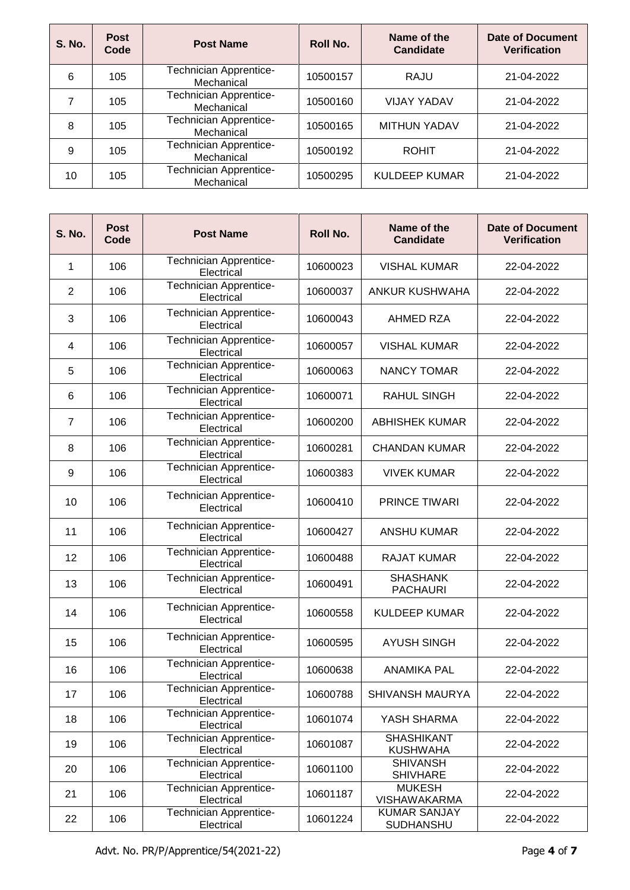| <b>S. No.</b> | <b>Post</b><br>Code | <b>Post Name</b>                            | <b>Roll No.</b> | Name of the<br><b>Candidate</b> | <b>Date of Document</b><br><b>Verification</b> |
|---------------|---------------------|---------------------------------------------|-----------------|---------------------------------|------------------------------------------------|
| 6             | 105                 | <b>Technician Apprentice-</b><br>Mechanical | 10500157        | RAJU                            | 21-04-2022                                     |
|               | 105                 | <b>Technician Apprentice-</b><br>Mechanical | 10500160        | <b>VIJAY YADAV</b>              | 21-04-2022                                     |
| 8             | 105                 | <b>Technician Apprentice-</b><br>Mechanical | 10500165        | <b>MITHUN YADAV</b>             | 21-04-2022                                     |
| 9             | 105                 | <b>Technician Apprentice-</b><br>Mechanical | 10500192        | <b>ROHIT</b>                    | 21-04-2022                                     |
| 10            | 105                 | <b>Technician Apprentice-</b><br>Mechanical | 10500295        | <b>KULDEEP KUMAR</b>            | 21-04-2022                                     |

| <b>S. No.</b>  | <b>Post</b><br>Code | <b>Post Name</b>                            | <b>Roll No.</b> | Name of the<br><b>Candidate</b>         | <b>Date of Document</b><br><b>Verification</b> |
|----------------|---------------------|---------------------------------------------|-----------------|-----------------------------------------|------------------------------------------------|
| 1              | 106                 | <b>Technician Apprentice-</b><br>Electrical | 10600023        | <b>VISHAL KUMAR</b>                     | 22-04-2022                                     |
| $\overline{2}$ | 106                 | <b>Technician Apprentice-</b><br>Electrical | 10600037        | <b>ANKUR KUSHWAHA</b>                   | 22-04-2022                                     |
| 3              | 106                 | Technician Apprentice-<br>Electrical        | 10600043        | AHMED RZA                               | 22-04-2022                                     |
| 4              | 106                 | <b>Technician Apprentice-</b><br>Electrical | 10600057        | <b>VISHAL KUMAR</b>                     | 22-04-2022                                     |
| 5              | 106                 | Technician Apprentice-<br>Electrical        | 10600063        | NANCY TOMAR                             | 22-04-2022                                     |
| 6              | 106                 | Technician Apprentice-<br>Electrical        | 10600071        | <b>RAHUL SINGH</b>                      | 22-04-2022                                     |
| $\overline{7}$ | 106                 | Technician Apprentice-<br>Electrical        | 10600200        | <b>ABHISHEK KUMAR</b>                   | 22-04-2022                                     |
| 8              | 106                 | Technician Apprentice-<br>Electrical        | 10600281        | <b>CHANDAN KUMAR</b>                    | 22-04-2022                                     |
| 9              | 106                 | Technician Apprentice-<br>Electrical        | 10600383        | <b>VIVEK KUMAR</b>                      | 22-04-2022                                     |
| 10             | 106                 | Technician Apprentice-<br>Electrical        | 10600410        | PRINCE TIWARI                           | 22-04-2022                                     |
| 11             | 106                 | <b>Technician Apprentice-</b><br>Electrical | 10600427        | <b>ANSHU KUMAR</b>                      | 22-04-2022                                     |
| 12             | 106                 | <b>Technician Apprentice-</b><br>Electrical | 10600488        | <b>RAJAT KUMAR</b>                      | 22-04-2022                                     |
| 13             | 106                 | <b>Technician Apprentice-</b><br>Electrical | 10600491        | <b>SHASHANK</b><br><b>PACHAURI</b>      | 22-04-2022                                     |
| 14             | 106                 | Technician Apprentice-<br>Electrical        | 10600558        | <b>KULDEEP KUMAR</b>                    | 22-04-2022                                     |
| 15             | 106                 | <b>Technician Apprentice-</b><br>Electrical | 10600595        | <b>AYUSH SINGH</b>                      | 22-04-2022                                     |
| 16             | 106                 | Technician Apprentice-<br>Electrical        | 10600638        | <b>ANAMIKA PAL</b>                      | 22-04-2022                                     |
| 17             | 106                 | Technician Apprentice-<br>Electrical        | 10600788        | SHIVANSH MAURYA                         | 22-04-2022                                     |
| 18             | 106                 | <b>Technician Apprentice-</b><br>Electrical | 10601074        | YASH SHARMA                             | 22-04-2022                                     |
| 19             | 106                 | <b>Technician Apprentice-</b><br>Electrical | 10601087        | <b>SHASHIKANT</b><br><b>KUSHWAHA</b>    | 22-04-2022                                     |
| 20             | 106                 | <b>Technician Apprentice-</b><br>Electrical | 10601100        | <b>SHIVANSH</b><br><b>SHIVHARE</b>      | 22-04-2022                                     |
| 21             | 106                 | <b>Technician Apprentice-</b><br>Electrical | 10601187        | <b>MUKESH</b><br>VISHAWAKARMA           | 22-04-2022                                     |
| 22             | 106                 | <b>Technician Apprentice-</b><br>Electrical | 10601224        | <b>KUMAR SANJAY</b><br><b>SUDHANSHU</b> | 22-04-2022                                     |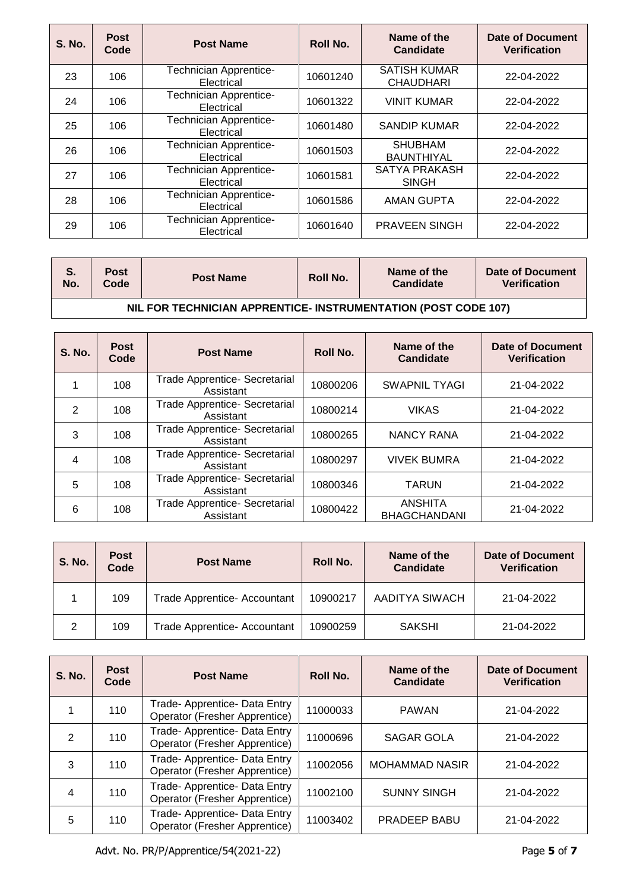| <b>S. No.</b> | <b>Post</b><br>Code | <b>Post Name</b>                            | <b>Roll No.</b> | Name of the<br><b>Candidate</b>         | Date of Document<br><b>Verification</b> |
|---------------|---------------------|---------------------------------------------|-----------------|-----------------------------------------|-----------------------------------------|
| 23            | 106                 | <b>Technician Apprentice-</b><br>Electrical | 10601240        | <b>SATISH KUMAR</b><br><b>CHAUDHARI</b> | 22-04-2022                              |
| 24            | 106                 | <b>Technician Apprentice-</b><br>Electrical | 10601322        | <b>VINIT KUMAR</b>                      | 22-04-2022                              |
| 25            | 106                 | Technician Apprentice-<br>Electrical        | 10601480        | SANDIP KUMAR                            | 22-04-2022                              |
| 26            | 106                 | <b>Technician Apprentice-</b><br>Electrical | 10601503        | <b>SHUBHAM</b><br><b>BAUNTHIYAL</b>     | 22-04-2022                              |
| 27            | 106                 | <b>Technician Apprentice-</b><br>Electrical | 10601581        | SATYA PRAKASH<br><b>SINGH</b>           | 22-04-2022                              |
| 28            | 106                 | <b>Technician Apprentice-</b><br>Electrical | 10601586        | <b>AMAN GUPTA</b>                       | 22-04-2022                              |
| 29            | 106                 | <b>Technician Apprentice-</b><br>Electrical | 10601640        | <b>PRAVEEN SINGH</b>                    | 22-04-2022                              |

| S.<br>No. | <b>Post</b><br>Code                                            | <b>Post Name</b> | Roll No. | Name of the<br>Candidate | Date of Document<br>Verification |  |  |  |  |
|-----------|----------------------------------------------------------------|------------------|----------|--------------------------|----------------------------------|--|--|--|--|
|           | NIL FOR TECHNICIAN APPRENTICE- INSTRUMENTATION (POST CODE 107) |                  |          |                          |                                  |  |  |  |  |

| <b>S. No.</b> | <b>Post</b><br>Code | <b>Post Name</b>                                  | Roll No. | Name of the<br><b>Candidate</b>       | Date of Document<br><b>Verification</b> |
|---------------|---------------------|---------------------------------------------------|----------|---------------------------------------|-----------------------------------------|
|               | 108                 | <b>Trade Apprentice- Secretarial</b><br>Assistant | 10800206 | <b>SWAPNIL TYAGI</b>                  | 21-04-2022                              |
| $\mathcal{P}$ | 108                 | Trade Apprentice- Secretarial<br>Assistant        | 10800214 | <b>VIKAS</b>                          | 21-04-2022                              |
| 3             | 108                 | <b>Trade Apprentice- Secretarial</b><br>Assistant | 10800265 | <b>NANCY RANA</b>                     | 21-04-2022                              |
| 4             | 108                 | Trade Apprentice- Secretarial<br>Assistant        | 10800297 | <b>VIVEK BUMRA</b>                    | 21-04-2022                              |
| 5             | 108                 | Trade Apprentice- Secretarial<br>Assistant        | 10800346 | <b>TARUN</b>                          | 21-04-2022                              |
| 6             | 108                 | Trade Apprentice- Secretarial<br>Assistant        | 10800422 | <b>ANSHITA</b><br><b>BHAGCHANDANI</b> | 21-04-2022                              |

| <b>S. No.</b> | <b>Post</b><br>Code | <b>Post Name</b>                    | Roll No. | Name of the<br><b>Candidate</b> | <b>Date of Document</b><br><b>Verification</b> |
|---------------|---------------------|-------------------------------------|----------|---------------------------------|------------------------------------------------|
|               | 109                 | <b>Trade Apprentice- Accountant</b> | 10900217 | AADITYA SIWACH                  | 21-04-2022                                     |
| 2             | 109                 | Trade Apprentice- Accountant        | 10900259 | <b>SAKSHI</b>                   | 21-04-2022                                     |

| <b>S. No.</b> | <b>Post</b><br>Code | <b>Post Name</b>                                               | Roll No. | Name of the<br><b>Candidate</b> | Date of Document<br><b>Verification</b> |
|---------------|---------------------|----------------------------------------------------------------|----------|---------------------------------|-----------------------------------------|
|               | 110                 | Trade- Apprentice- Data Entry<br>Operator (Fresher Apprentice) | 11000033 | <b>PAWAN</b>                    | 21-04-2022                              |
| 2             | 110                 | Trade- Apprentice- Data Entry<br>Operator (Fresher Apprentice) | 11000696 | SAGAR GOLA                      | 21-04-2022                              |
| 3             | 110                 | Trade- Apprentice- Data Entry<br>Operator (Fresher Apprentice) | 11002056 | <b>MOHAMMAD NASIR</b>           | 21-04-2022                              |
| 4             | 110                 | Trade- Apprentice- Data Entry<br>Operator (Fresher Apprentice) | 11002100 | <b>SUNNY SINGH</b>              | 21-04-2022                              |
| 5             | 110                 | Trade- Apprentice- Data Entry<br>Operator (Fresher Apprentice) | 11003402 | PRADEEP BABU                    | 21-04-2022                              |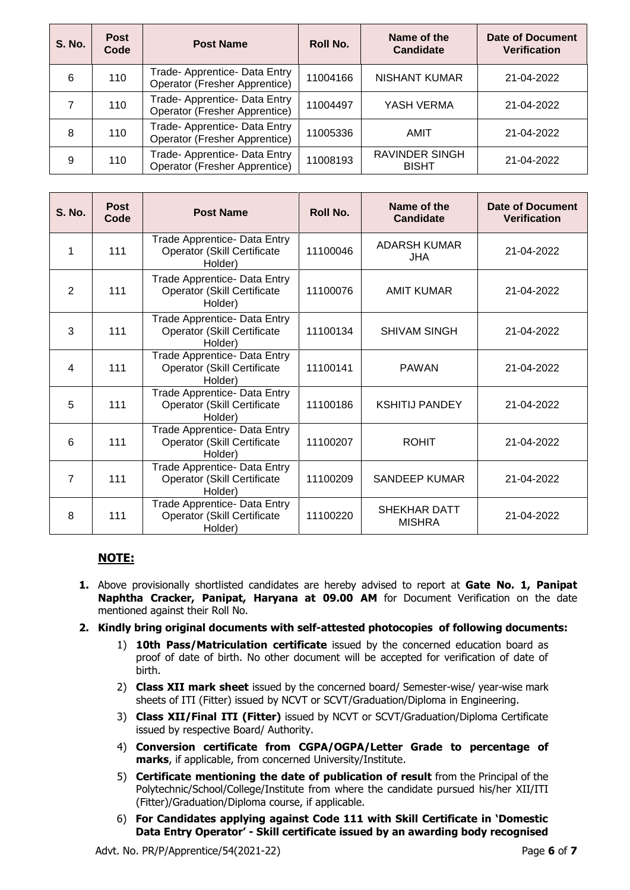| <b>S. No.</b> | <b>Post</b><br>Code | <b>Post Name</b>                                                      | <b>Roll No.</b> | Name of the<br><b>Candidate</b>       | <b>Date of Document</b><br><b>Verification</b> |
|---------------|---------------------|-----------------------------------------------------------------------|-----------------|---------------------------------------|------------------------------------------------|
| 6             | 110                 | Trade- Apprentice- Data Entry<br><b>Operator (Fresher Apprentice)</b> | 11004166        | <b>NISHANT KUMAR</b>                  | 21-04-2022                                     |
|               | 110                 | Trade- Apprentice- Data Entry<br>Operator (Fresher Apprentice)        | 11004497        | YASH VERMA                            | 21-04-2022                                     |
| 8             | 110                 | Trade- Apprentice- Data Entry<br>Operator (Fresher Apprentice)        | 11005336        | AMIT                                  | 21-04-2022                                     |
| 9             | 110                 | Trade- Apprentice- Data Entry<br>Operator (Fresher Apprentice)        | 11008193        | <b>RAVINDER SINGH</b><br><b>BISHT</b> | 21-04-2022                                     |

| <b>S. No.</b>  | <b>Post</b><br>Code | <b>Post Name</b>                                                              | Roll No. | Name of the<br><b>Candidate</b> | Date of Document<br><b>Verification</b> |
|----------------|---------------------|-------------------------------------------------------------------------------|----------|---------------------------------|-----------------------------------------|
|                | 111                 | Trade Apprentice- Data Entry<br><b>Operator (Skill Certificate</b><br>Holder) | 11100046 | ADARSH KUMAR<br><b>JHA</b>      | 21-04-2022                              |
| $\overline{2}$ | 111                 | Trade Apprentice- Data Entry<br>Operator (Skill Certificate<br>Holder)        | 11100076 | <b>AMIT KUMAR</b>               | 21-04-2022                              |
| 3              | 111                 | Trade Apprentice- Data Entry<br>Operator (Skill Certificate<br>Holder)        | 11100134 | <b>SHIVAM SINGH</b>             | 21-04-2022                              |
| 4              | 111                 | Trade Apprentice- Data Entry<br><b>Operator (Skill Certificate</b><br>Holder) | 11100141 | <b>PAWAN</b>                    | 21-04-2022                              |
| 5              | 111                 | Trade Apprentice- Data Entry<br><b>Operator (Skill Certificate</b><br>Holder) | 11100186 | <b>KSHITIJ PANDEY</b>           | 21-04-2022                              |
| 6              | 111                 | Trade Apprentice- Data Entry<br><b>Operator (Skill Certificate</b><br>Holder) | 11100207 | <b>ROHIT</b>                    | 21-04-2022                              |
| $\overline{7}$ | 111                 | Trade Apprentice- Data Entry<br><b>Operator (Skill Certificate</b><br>Holder) | 11100209 | SANDEEP KUMAR                   | 21-04-2022                              |
| 8              | 111                 | Trade Apprentice- Data Entry<br>Operator (Skill Certificate<br>Holder)        | 11100220 | SHEKHAR DATT<br><b>MISHRA</b>   | 21-04-2022                              |

## **NOTE:**

- **1.** Above provisionally shortlisted candidates are hereby advised to report at **Gate No. 1, Panipat Naphtha Cracker, Panipat, Haryana at 09.00 AM** for Document Verification on the date mentioned against their Roll No.
- **2. Kindly bring original documents with self-attested photocopies of following documents:**
	- 1) **10th Pass/Matriculation certificate** issued by the concerned education board as proof of date of birth. No other document will be accepted for verification of date of birth.
	- 2) **Class XII mark sheet** issued by the concerned board/ Semester-wise/ year-wise mark sheets of ITI (Fitter) issued by NCVT or SCVT/Graduation/Diploma in Engineering.
	- 3) **Class XII/Final ITI (Fitter)** issued by NCVT or SCVT/Graduation/Diploma Certificate issued by respective Board/ Authority.
	- 4) **Conversion certificate from CGPA/OGPA/Letter Grade to percentage of marks**, if applicable, from concerned University/Institute.
	- 5) **Certificate mentioning the date of publication of result** from the Principal of the Polytechnic/School/College/Institute from where the candidate pursued his/her XII/ITI (Fitter)/Graduation/Diploma course, if applicable.
	- 6) **For Candidates applying against Code 111 with Skill Certificate in 'Domestic Data Entry Operator' - Skill certificate issued by an awarding body recognised**